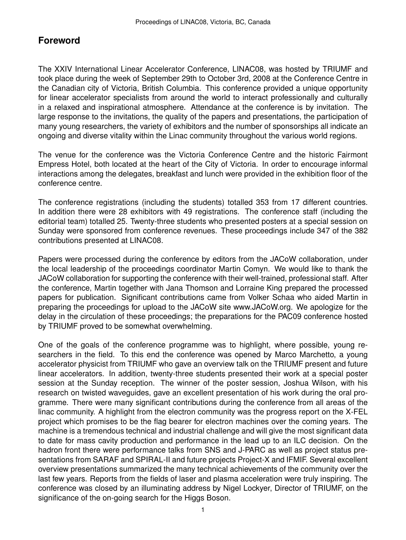## **Foreword**

The XXIV International Linear Accelerator Conference, LINAC08, was hosted by TRIUMF and took place during the week of September 29th to October 3rd, 2008 at the Conference Centre in the Canadian city of Victoria, British Columbia. This conference provided a unique opportunity for linear accelerator specialists from around the world to interact professionally and culturally in a relaxed and inspirational atmosphere. Attendance at the conference is by invitation. The large response to the invitations, the quality of the papers and presentations, the participation of many young researchers, the variety of exhibitors and the number of sponsorships all indicate an ongoing and diverse vitality within the Linac community throughout the various world regions.

The venue for the conference was the Victoria Conference Centre and the historic Fairmont Empress Hotel, both located at the heart of the City of Victoria. In order to encourage informal interactions among the delegates, breakfast and lunch were provided in the exhibition floor of the conference centre.

The conference registrations (including the students) totalled 353 from 17 different countries. In addition there were 28 exhibitors with 49 registrations. The conference staff (including the editorial team) totalled 25. Twenty-three students who presented posters at a special session on Sunday were sponsored from conference revenues. These proceedings include 347 of the 382 contributions presented at LINAC08.

Papers were processed during the conference by editors from the JACoW collaboration, under the local leadership of the proceedings coordinator Martin Comyn. We would like to thank the JACoW collaboration for supporting the conference with their well-trained, professional staff. After the conference, Martin together with Jana Thomson and Lorraine King prepared the processed papers for publication. Significant contributions came from Volker Schaa who aided Martin in preparing the proceedings for upload to the JACoW site www.JACoW.org. We apologize for the delay in the circulation of these proceedings; the preparations for the PAC09 conference hosted by TRIUMF proved to be somewhat overwhelming.

One of the goals of the conference programme was to highlight, where possible, young researchers in the field. To this end the conference was opened by Marco Marchetto, a young accelerator physicist from TRIUMF who gave an overview talk on the TRIUMF present and future linear accelerators. In addition, twenty-three students presented their work at a special poster session at the Sunday reception. The winner of the poster session, Joshua Wilson, with his research on twisted waveguides, gave an excellent presentation of his work during the oral programme. There were many significant contributions during the conference from all areas of the linac community. A highlight from the electron community was the progress report on the X-FEL project which promises to be the flag bearer for electron machines over the coming years. The machine is a tremendous technical and industrial challenge and will give the most significant data to date for mass cavity production and performance in the lead up to an ILC decision. On the hadron front there were performance talks from SNS and J-PARC as well as project status presentations from SARAF and SPIRAL-II and future projects Project-X and IFMIF. Several excellent overview presentations summarized the many technical achievements of the community over the last few years. Reports from the fields of laser and plasma acceleration were truly inspiring. The conference was closed by an illuminating address by Nigel Lockyer, Director of TRIUMF, on the significance of the on-going search for the Higgs Boson.